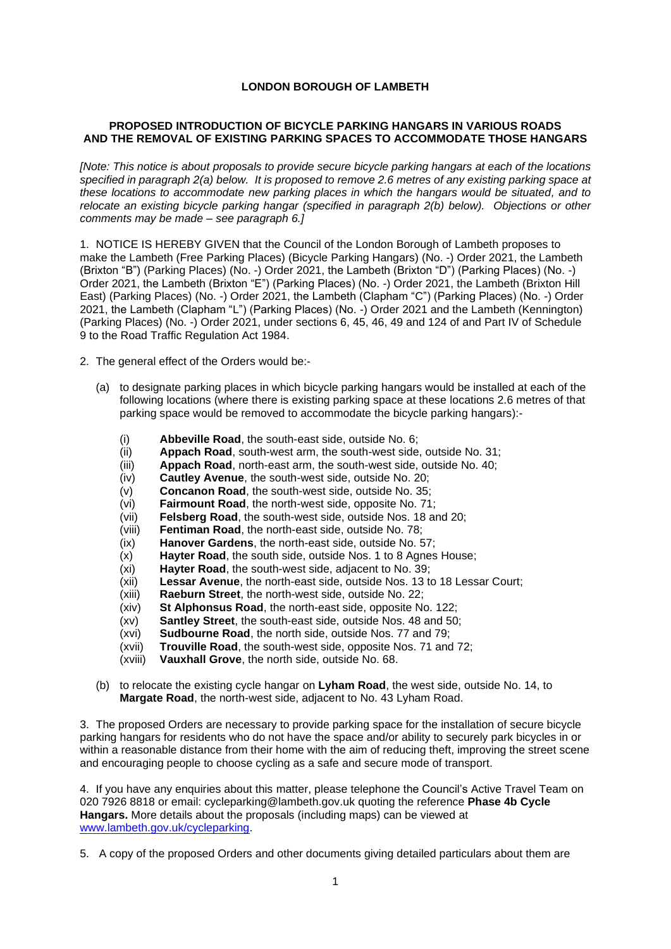## **LONDON BOROUGH OF LAMBETH**

## **PROPOSED INTRODUCTION OF BICYCLE PARKING HANGARS IN VARIOUS ROADS AND THE REMOVAL OF EXISTING PARKING SPACES TO ACCOMMODATE THOSE HANGARS**

*[Note: This notice is about proposals to provide secure bicycle parking hangars at each of the locations specified in paragraph 2(a) below. It is proposed to remove 2.6 metres of any existing parking space at these locations to accommodate new parking places in which the hangars would be situated, and to relocate an existing bicycle parking hangar (specified in paragraph 2(b) below). Objections or other comments may be made – see paragraph 6.]*

1. NOTICE IS HEREBY GIVEN that the Council of the London Borough of Lambeth proposes to make the Lambeth (Free Parking Places) (Bicycle Parking Hangars) (No. -) Order 2021, the Lambeth (Brixton "B") (Parking Places) (No. -) Order 2021, the Lambeth (Brixton "D") (Parking Places) (No. -) Order 2021, the Lambeth (Brixton "E") (Parking Places) (No. -) Order 2021, the Lambeth (Brixton Hill East) (Parking Places) (No. -) Order 2021, the Lambeth (Clapham "C") (Parking Places) (No. -) Order 2021, the Lambeth (Clapham "L") (Parking Places) (No. -) Order 2021 and the Lambeth (Kennington) (Parking Places) (No. -) Order 2021, under sections 6, 45, 46, 49 and 124 of and Part IV of Schedule 9 to the Road Traffic Regulation Act 1984.

- 2. The general effect of the Orders would be:-
	- (a) to designate parking places in which bicycle parking hangars would be installed at each of the following locations (where there is existing parking space at these locations 2.6 metres of that parking space would be removed to accommodate the bicycle parking hangars):-
		- (i) **Abbeville Road**, the south-east side, outside No. 6;
		- (ii) **Appach Road**, south-west arm, the south-west side, outside No. 31;
		- (iii) **Appach Road**, north-east arm, the south-west side, outside No. 40;
		- (iv) **Cautley Avenue**, the south-west side, outside No. 20;
		- (v) **Concanon Road**, the south-west side, outside No. 35;
		- (vi) **Fairmount Road**, the north-west side, opposite No. 71;
		- (vii) **Felsberg Road**, the south-west side, outside Nos. 18 and 20;
		- (viii) **Fentiman Road**, the north-east side, outside No. 78;
		- (ix) **Hanover Gardens**, the north-east side, outside No. 57;
		- (x) **Hayter Road**, the south side, outside Nos. 1 to 8 Agnes House;
		- (xi) **Hayter Road**, the south-west side, adjacent to No. 39;
		- (xii) **Lessar Avenue**, the north-east side, outside Nos. 13 to 18 Lessar Court;
		- (xiii) **Raeburn Street**, the north-west side, outside No. 22;
		- (xiv) **St Alphonsus Road**, the north-east side, opposite No. 122;
		- (xv) **Santley Street**, the south-east side, outside Nos. 48 and 50;
		- (xvi) **Sudbourne Road**, the north side, outside Nos. 77 and 79;
		- (xvii) **Trouville Road**, the south-west side, opposite Nos. 71 and 72;
		- (xviii) **Vauxhall Grove**, the north side, outside No. 68.
	- (b) to relocate the existing cycle hangar on **Lyham Road**, the west side, outside No. 14, to **Margate Road**, the north-west side, adjacent to No. 43 Lyham Road.

3. The proposed Orders are necessary to provide parking space for the installation of secure bicycle parking hangars for residents who do not have the space and/or ability to securely park bicycles in or within a reasonable distance from their home with the aim of reducing theft, improving the street scene and encouraging people to choose cycling as a safe and secure mode of transport.

4. If you have any enquiries about this matter, please telephone the Council's Active Travel Team on 020 7926 8818 or email: [cycleparking@lambeth.gov.uk](mailto:cycleparking@lambeth.gov.uk) quoting the reference **Phase 4b Cycle Hangars.** More details about the proposals (including maps) can be viewed at [www.lambeth.gov.uk/cycleparking.](http://www.lambeth.gov.uk/cycleparking)

5. A copy of the proposed Orders and other documents giving detailed particulars about them are